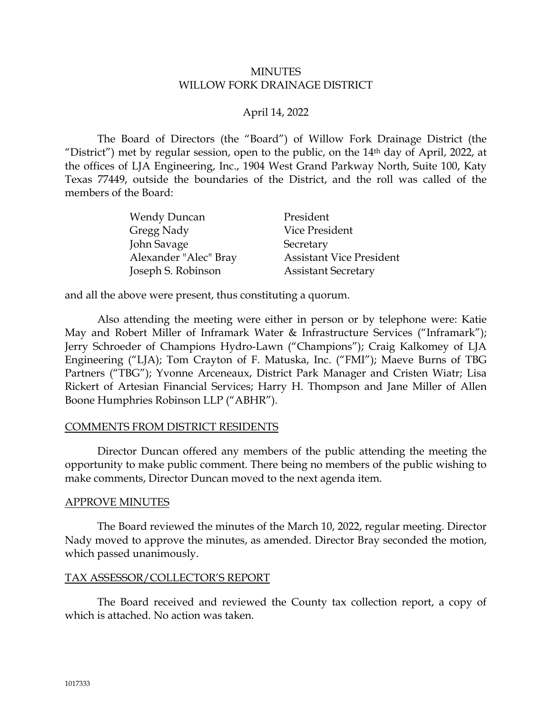#### MINUTES WILLOW FORK DRAINAGE DISTRICT

# April 14, 2022

The Board of Directors (the "Board") of Willow Fork Drainage District (the "District") met by regular session, open to the public, on the 14th day of April, 2022, at the offices of LJA Engineering, Inc., 1904 West Grand Parkway North, Suite 100, Katy Texas 77449, outside the boundaries of the District, and the roll was called of the members of the Board:

| <b>Wendy Duncan</b>   | President                       |
|-----------------------|---------------------------------|
| Gregg Nady            | Vice President                  |
| John Savage           | Secretary                       |
| Alexander "Alec" Bray | <b>Assistant Vice President</b> |
| Joseph S. Robinson    | <b>Assistant Secretary</b>      |

and all the above were present, thus constituting a quorum.

Also attending the meeting were either in person or by telephone were: Katie May and Robert Miller of Inframark Water & Infrastructure Services ("Inframark"); Jerry Schroeder of Champions Hydro-Lawn ("Champions"); Craig Kalkomey of LJA Engineering ("LJA); Tom Crayton of F. Matuska, Inc. ("FMI"); Maeve Burns of TBG Partners ("TBG"); Yvonne Arceneaux, District Park Manager and Cristen Wiatr; Lisa Rickert of Artesian Financial Services; Harry H. Thompson and Jane Miller of Allen Boone Humphries Robinson LLP ("ABHR").

## COMMENTS FROM DISTRICT RESIDENTS

Director Duncan offered any members of the public attending the meeting the opportunity to make public comment. There being no members of the public wishing to make comments, Director Duncan moved to the next agenda item.

#### APPROVE MINUTES

The Board reviewed the minutes of the March 10, 2022, regular meeting. Director Nady moved to approve the minutes, as amended. Director Bray seconded the motion, which passed unanimously.

## TAX ASSESSOR/COLLECTOR'S REPORT

The Board received and reviewed the County tax collection report, a copy of which is attached. No action was taken.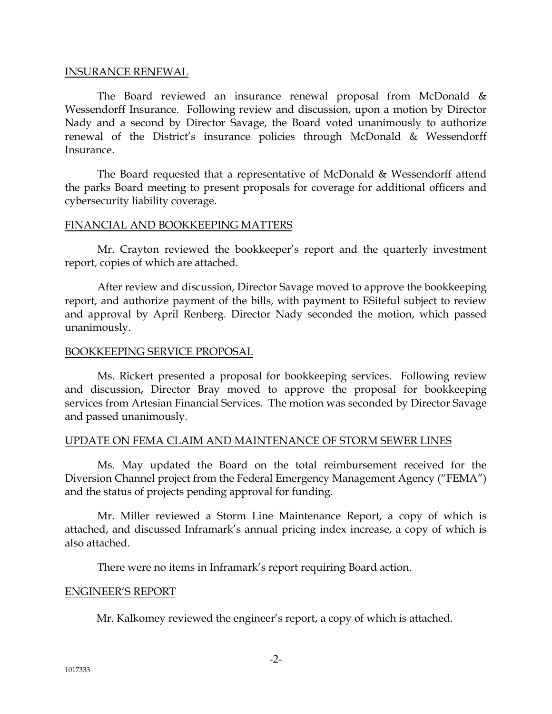#### INSURANCE RENEWAL

The Board reviewed an insurance renewal proposal from McDonald & Wessendorff Insurance. Following review and discussion, upon a motion by Director Nady and a second by Director Savage, the Board voted unanimously to authorize renewal of the District's insurance policies through McDonald & Wessendorff Insurance.

The Board requested that a representative of McDonald & Wessendorff attend the parks Board meeting to present proposals for coverage for additional officers and cybersecurity liability coverage.

## FINANCIAL AND BOOKKEEPING MATTERS

Mr. Crayton reviewed the bookkeeper's report and the quarterly investment report, copies of which are attached.

After review and discussion, Director Savage moved to approve the bookkeeping report, and authorize payment of the bills, with payment to ESiteful subject to review and approval by April Renberg. Director Nady seconded the motion, which passed unanimously.

#### BOOKKEEPING SERVICE PROPOSAL

Ms. Rickert presented a proposal for bookkeeping services. Following review and discussion, Director Bray moved to approve the proposal for bookkeeping services from Artesian Financial Services. The motion was seconded by Director Savage and passed unanimously.

## UPDATE ON FEMA CLAIM AND MAINTENANCE OF STORM SEWER LINES

Ms. May updated the Board on the total reimbursement received for the Diversion Channel project from the Federal Emergency Management Agency ("FEMA") and the status of projects pending approval for funding.

Mr. Miller reviewed a Storm Line Maintenance Report, a copy of which is attached, and discussed Inframark's annual pricing index increase, a copy of which is also attached.

There were no items in Inframark's report requiring Board action.

#### ENGINEER'S REPORT

Mr. Kalkomey reviewed the engineer's report, a copy of which is attached.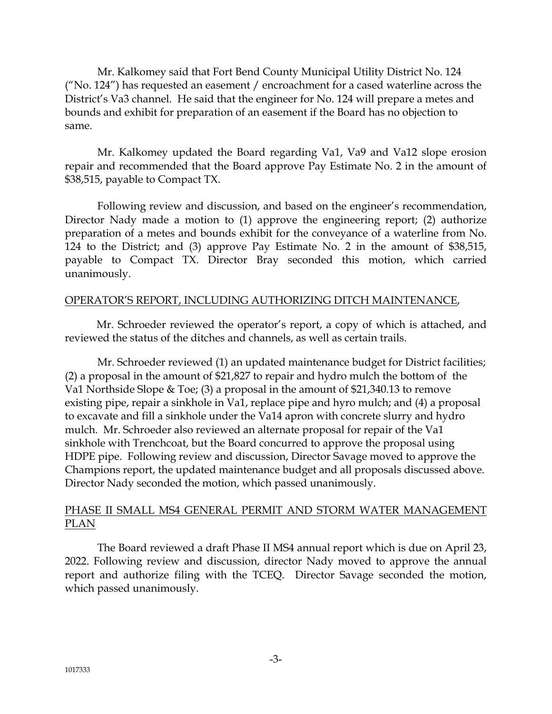Mr. Kalkomey said that Fort Bend County Municipal Utility District No. 124  $(''No. 124'')$  has requested an easement / encroachment for a cased waterline across the District's Va3 channel. He said that the engineer for No. 124 will prepare a metes and bounds and exhibit for preparation of an easement if the Board has no objection to same.

Mr. Kalkomey updated the Board regarding Va1, Va9 and Va12 slope erosion repair and recommended that the Board approve Pay Estimate No. 2 in the amount of \$38,515, payable to Compact TX.

Following review and discussion, and based on the engineer's recommendation, Director Nady made a motion to (1) approve the engineering report; (2) authorize preparation of a metes and bounds exhibit for the conveyance of a waterline from No. 124 to the District; and (3) approve Pay Estimate No. 2 in the amount of \$38,515, payable to Compact TX. Director Bray seconded this motion, which carried unanimously.

# OPERATOR'S REPORT, INCLUDING AUTHORIZING DITCH MAINTENANCE,

Mr. Schroeder reviewed the operator's report, a copy of which is attached, and reviewed the status of the ditches and channels, as well as certain trails.

Mr. Schroeder reviewed (1) an updated maintenance budget for District facilities; (2) a proposal in the amount of \$21,827 to repair and hydro mulch the bottom of the Va1 Northside Slope & Toe; (3) a proposal in the amount of \$21,340.13 to remove existing pipe, repair a sinkhole in Va1, replace pipe and hyro mulch; and (4) a proposal to excavate and fill a sinkhole under the Va14 apron with concrete slurry and hydro mulch. Mr. Schroeder also reviewed an alternate proposal for repair of the Va1 sinkhole with Trenchcoat, but the Board concurred to approve the proposal using HDPE pipe. Following review and discussion, Director Savage moved to approve the Champions report, the updated maintenance budget and all proposals discussed above. Director Nady seconded the motion, which passed unanimously.

# PHASE II SMALL MS4 GENERAL PERMIT AND STORM WATER MANAGEMENT PLAN

The Board reviewed a draft Phase II MS4 annual report which is due on April 23, 2022. Following review and discussion, director Nady moved to approve the annual report and authorize filing with the TCEQ. Director Savage seconded the motion, which passed unanimously.